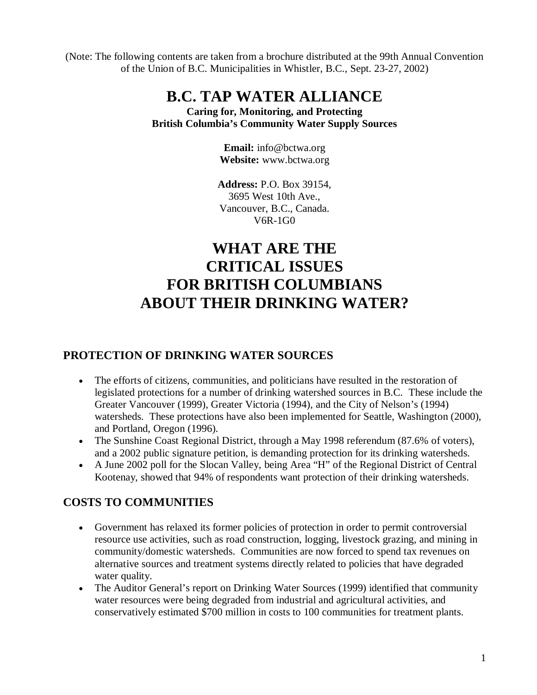(Note: The following contents are taken from a brochure distributed at the 99th Annual Convention of the Union of B.C. Municipalities in Whistler, B.C., Sept. 23-27, 2002)

## **B.C. TAP WATER ALLIANCE**

**Caring for, Monitoring, and Protecting British Columbia's Community Water Supply Sources**

> **Email:** info@bctwa.org **Website:** www.bctwa.org

**Address:** P.O. Box 39154, 3695 West 10th Ave., Vancouver, B.C., Canada. V6R-1G0

# **WHAT ARE THE CRITICAL ISSUES FOR BRITISH COLUMBIANS ABOUT THEIR DRINKING WATER?**

#### **PROTECTION OF DRINKING WATER SOURCES**

- The efforts of citizens, communities, and politicians have resulted in the restoration of legislated protections for a number of drinking watershed sources in B.C. These include the Greater Vancouver (1999), Greater Victoria (1994), and the City of Nelson's (1994) watersheds. These protections have also been implemented for Seattle, Washington (2000), and Portland, Oregon (1996).
- The Sunshine Coast Regional District, through a May 1998 referendum (87.6% of voters), and a 2002 public signature petition, is demanding protection for its drinking watersheds.
- A June 2002 poll for the Slocan Valley, being Area "H" of the Regional District of Central Kootenay, showed that 94% of respondents want protection of their drinking watersheds.

#### **COSTS TO COMMUNITIES**

- Government has relaxed its former policies of protection in order to permit controversial resource use activities, such as road construction, logging, livestock grazing, and mining in community/domestic watersheds. Communities are now forced to spend tax revenues on alternative sources and treatment systems directly related to policies that have degraded water quality.
- The Auditor General's report on Drinking Water Sources (1999) identified that community water resources were being degraded from industrial and agricultural activities, and conservatively estimated \$700 million in costs to 100 communities for treatment plants.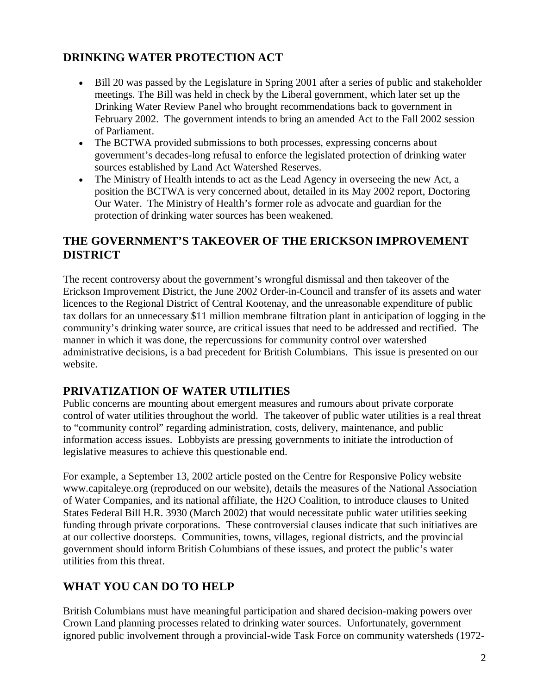#### **DRINKING WATER PROTECTION ACT**

- Bill 20 was passed by the Legislature in Spring 2001 after a series of public and stakeholder meetings. The Bill was held in check by the Liberal government, which later set up the Drinking Water Review Panel who brought recommendations back to government in February 2002. The government intends to bring an amended Act to the Fall 2002 session of Parliament.
- The BCTWA provided submissions to both processes, expressing concerns about government's decades-long refusal to enforce the legislated protection of drinking water sources established by Land Act Watershed Reserves.
- The Ministry of Health intends to act as the Lead Agency in overseeing the new Act, a position the BCTWA is very concerned about, detailed in its May 2002 report, Doctoring Our Water. The Ministry of Health's former role as advocate and guardian for the protection of drinking water sources has been weakened.

#### **THE GOVERNMENT'S TAKEOVER OF THE ERICKSON IMPROVEMENT DISTRICT**

The recent controversy about the government's wrongful dismissal and then takeover of the Erickson Improvement District, the June 2002 Order-in-Council and transfer of its assets and water licences to the Regional District of Central Kootenay, and the unreasonable expenditure of public tax dollars for an unnecessary \$11 million membrane filtration plant in anticipation of logging in the community's drinking water source, are critical issues that need to be addressed and rectified. The manner in which it was done, the repercussions for community control over watershed administrative decisions, is a bad precedent for British Columbians. This issue is presented on our website.

#### **PRIVATIZATION OF WATER UTILITIES**

Public concerns are mounting about emergent measures and rumours about private corporate control of water utilities throughout the world. The takeover of public water utilities is a real threat to "community control" regarding administration, costs, delivery, maintenance, and public information access issues. Lobbyists are pressing governments to initiate the introduction of legislative measures to achieve this questionable end.

For example, a September 13, 2002 article posted on the Centre for Responsive Policy website www.capitaleye.org (reproduced on our website), details the measures of the National Association of Water Companies, and its national affiliate, the H2O Coalition, to introduce clauses to United States Federal Bill H.R. 3930 (March 2002) that would necessitate public water utilities seeking funding through private corporations. These controversial clauses indicate that such initiatives are at our collective doorsteps. Communities, towns, villages, regional districts, and the provincial government should inform British Columbians of these issues, and protect the public's water utilities from this threat.

### **WHAT YOU CAN DO TO HELP**

British Columbians must have meaningful participation and shared decision-making powers over Crown Land planning processes related to drinking water sources. Unfortunately, government ignored public involvement through a provincial-wide Task Force on community watersheds (1972-